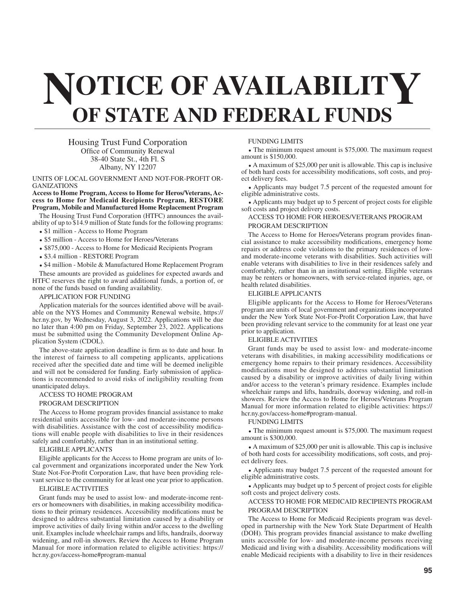# **NOTICE OF AVAILABILITY OF STATE AND FEDERAL FUNDS**

Housing Trust Fund Corporation Office of Community Renewal 38-40 State St., 4th Fl. S Albany, NY 12207

# UNITS OF LOCAL GOVERNMENT AND NOT-FOR-PROFIT OR-GANIZATIONS

# **Access to Home Program, Access to Home for Heros/Veterans, Access to Home for Medicaid Recipients Program, RESTORE Program, Mobile and Manufactured Home Replacement Program**

The Housing Trust Fund Corporation (HTFC) announces the availability of up to \$14.9 million of State funds for the following programs:

- \$1 million Access to Home Program
- \$5 million Access to Home for Heroes/Veterans
- \$875,000 Access to Home for Medicaid Recipients Program
- \$3.4 million RESTORE Program

• \$4 million - Mobile & Manufactured Home Replacement Program

These amounts are provided as guidelines for expected awards and HTFC reserves the right to award additional funds, a portion of, or none of the funds based on funding availability.

# APPLICATION FOR FUNDING

Application materials for the sources identified above will be available on the NYS Homes and Community Renewal website, https:// hcr.ny.gov, by Wednesday, August 3, 2022. Applications will be due no later than 4:00 pm on Friday, September 23, 2022. Applications must be submitted using the Community Development Online Application System (CDOL).

The above-state application deadline is firm as to date and hour. In the interest of fairness to all competing applicants, applications received after the specified date and time will be deemed ineligible and will not be considered for funding. Early submission of applications is recommended to avoid risks of ineligibility resulting from unanticipated delays.

## ACCESS TO HOME PROGRAM

## PROGRAM DESCRIPTION

The Access to Home program provides financial assistance to make residential units accessible for low- and moderate-income persons with disabilities. Assistance with the cost of accessibility modifications will enable people with disabilities to live in their residences safely and comfortably, rather than in an institutional setting.

ELIGIBLE APPLICANTS

Eligible applicants for the Access to Home program are units of local government and organizations incorporated under the New York State Not-For-Profit Corporation Law, that have been providing relevant service to the community for at least one year prior to application.

# ELIGIBLE ACTIVITIES

Grant funds may be used to assist low- and moderate-income renters or homeowners with disabilities, in making accessibility modifications to their primary residences. Accessibility modifications must be designed to address substantial limitation caused by a disability or improve activities of daily living within and/or access to the dwelling unit. Examples include wheelchair ramps and lifts, handrails, doorway widening, and roll-in showers. Review the Access to Home Program Manual for more information related to eligible activities: https:// hcr.ny.gov/access-home#program-manual

## FUNDING LIMITS

 $\bullet$  The minimum request amount is \$75,000. The maximum request amount is \$150,000.

 $\bullet$  A maximum of \$25,000 per unit is allowable. This cap is inclusive of both hard costs for accessibility modifications, soft costs, and project delivery fees.

• Applicants may budget 7.5 percent of the requested amount for eligible administrative costs.

• Applicants may budget up to 5 percent of project costs for eligible soft costs and project delivery costs.

# ACCESS TO HOME FOR HEROES/VETERANS PROGRAM PROGRAM DESCRIPTION

The Access to Home for Heroes/Veterans program provides financial assistance to make accessibility modifications, emergency home repairs or address code violations to the primary residences of lowand moderate-income veterans with disabilities. Such activities will enable veterans with disabilities to live in their residences safely and comfortably, rather than in an institutional setting. Eligible veterans may be renters or homeowners, with service-related injuries, age, or health related disabilities.

#### ELIGIBLE APPLICANTS

Eligible applicants for the Access to Home for Heroes/Veterans program are units of local government and organizations incorporated under the New York State Not-For-Profit Corporation Law, that have been providing relevant service to the community for at least one year prior to application.

#### ELIGIBLE ACTIVITIES

Grant funds may be used to assist low- and moderate-income veterans with disabilities, in making accessibility modifications or emergency home repairs to their primary residences. Accessibility modifications must be designed to address substantial limitation caused by a disability or improve activities of daily living within and/or access to the veteran's primary residence. Examples include wheelchair ramps and lifts, handrails, doorway widening, and roll-in showers. Review the Access to Home for Heroes/Veterans Program Manual for more information related to eligible activities: https:// hcr.ny.gov/access-home#program-manual.

# FUNDING LIMITS

 $\bullet$  The minimum request amount is \$75,000. The maximum request amount is \$300,000.

 $\bullet$  A maximum of \$25,000 per unit is allowable. This cap is inclusive of both hard costs for accessibility modifications, soft costs, and project delivery fees.

• Applicants may budget 7.5 percent of the requested amount for eligible administrative costs.

• Applicants may budget up to 5 percent of project costs for eligible soft costs and project delivery costs.

# ACCESS TO HOME FOR MEDICAID RECIPIENTS PROGRAM PROGRAM DESCRIPTION

The Access to Home for Medicaid Recipients program was developed in partnership with the New York State Department of Health (DOH). This program provides financial assistance to make dwelling units accessible for low- and moderate-income persons receiving Medicaid and living with a disability. Accessibility modifications will enable Medicaid recipients with a disability to live in their residences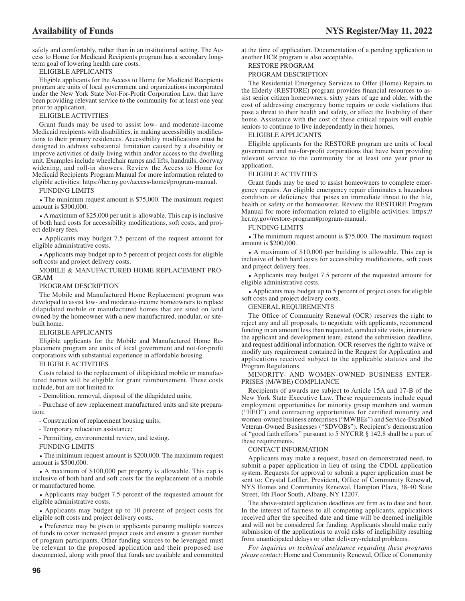safely and comfortably, rather than in an institutional setting. The Access to Home for Medicaid Recipients program has a secondary longterm goal of lowering health care costs.

# ELIGIBLE APPLICANTS

Eligible applicants for the Access to Home for Medicaid Recipients program are units of local government and organizations incorporated under the New York State Not-For-Profit Corporation Law, that have been providing relevant service to the community for at least one year prior to application.

# ELIGIBLE ACTIVITIES

Grant funds may be used to assist low- and moderate-income Medicaid recipients with disabilities, in making accessibility modifications to their primary residences. Accessibility modifications must be designed to address substantial limitation caused by a disability or improve activities of daily living within and/or access to the dwelling unit. Examples include wheelchair ramps and lifts, handrails, doorway widening, and roll-in showers. Review the Access to Home for Medicaid Recipients Program Manual for more information related to eligible activities: https://hcr.ny.gov/access-home#program-manual.

# FUNDING LIMITS

 $\bullet$  The minimum request amount is \$75,000. The maximum request amount is \$300,000.

A maximum of  $$25,000$  per unit is allowable. This cap is inclusive of both hard costs for accessibility modifications, soft costs, and project delivery fees.

• Applicants may budget 7.5 percent of the request amount for eligible administrative costs.

• Applicants may budget up to 5 percent of project costs for eligible soft costs and project delivery costs.

MOBILE & MANUFACTURED HOME REPLACEMENT PRO-GRAM

# PROGRAM DESCRIPTION

The Mobile and Manufactured Home Replacement program was developed to assist low- and moderate-income homeowners to replace dilapidated mobile or manufactured homes that are sited on land owned by the homeowner with a new manufactured, modular, or sitebuilt home.

#### ELIGIBLE APPLICANTS

Eligible applicants for the Mobile and Manufactured Home Replacement program are units of local government and not-for-profit corporations with substantial experience in affordable housing.

#### ELIGIBLE ACTIVITIES

Costs related to the replacement of dilapidated mobile or manufactured homes will be eligible for grant reimbursement. These costs include, but are not limited to:

- Demolition, removal, disposal of the dilapidated units;

- Purchase of new replacement manufactured units and site preparation;

- Construction of replacement housing units;

- Temporary relocation assistance;

- Permitting, environmental review, and testing.

#### FUNDING LIMITS

 $\bullet$  The minimum request amount is \$200,000. The maximum request amount is \$500,000.

• A maximum of \$100,000 per property is allowable. This cap is inclusive of both hard and soft costs for the replacement of a mobile or manufactured home.

• Applicants may budget 7.5 percent of the requested amount for eligible administrative costs.

• Applicants may budget up to 10 percent of project costs for eligible soft costs and project delivery costs.

• Preference may be given to applicants pursuing multiple sources of funds to cover increased project costs and ensure a greater number of program participants. Other funding sources to be leveraged must be relevant to the proposed application and their proposed use documented, along with proof that funds are available and committed at the time of application. Documentation of a pending application to another HCR program is also acceptable.

# RESTORE PROGRAM

# PROGRAM DESCRIPTION

The Residential Emergency Services to Offer (Home) Repairs to the Elderly (RESTORE) program provides financial resources to assist senior citizen homeowners, sixty years of age and older, with the cost of addressing emergency home repairs or code violations that pose a threat to their health and safety, or affect the livability of their home. Assistance with the cost of these critical repairs will enable seniors to continue to live independently in their homes.

# ELIGIBLE APPLICANTS

Eligible applicants for the RESTORE program are units of local government and not-for-profit corporations that have been providing relevant service to the community for at least one year prior to application.

# ELIGIBLE ACTIVITIES

Grant funds may be used to assist homeowners to complete emergency repairs. An eligible emergency repair eliminates a hazardous condition or deficiency that poses an immediate threat to the life, health or safety or the homeowner. Review the RESTORE Program Manual for more information related to eligible activities: https:// hcr.ny.gov/restore-program#program-manual.

# FUNDING LIMITS

 $\bullet$  The minimum request amount is \$75,000. The maximum request amount is \$200,000.

 $\bullet$  A maximum of \$10,000 per building is allowable. This cap is inclusive of both hard costs for accessibility modifications, soft costs and project delivery fees.

• Applicants may budget 7.5 percent of the requested amount for eligible administrative costs.

• Applicants may budget up to 5 percent of project costs for eligible soft costs and project delivery costs.

# GENERAL REQUIREMENTS

The Office of Community Renewal (OCR) reserves the right to reject any and all proposals, to negotiate with applicants, recommend funding in an amount less than requested, conduct site visits, interview the applicant and development team, extend the submission deadline, and request additional information. OCR reserves the right to waive or modify any requirement contained in the Request for Application and applications received subject to the applicable statutes and the Program Regulations.

# MINORITY- AND WOMEN-OWNED BUSINESS ENTER-PRISES (M/WBE) COMPLIANCE

Recipients of awards are subject to Article 15A and 17-B of the New York State Executive Law. These requirements include equal employment opportunities for minority group members and women ("EEO") and contracting opportunities for certified minority and women-owned business enterprises ("MWBEs") and Service-Disabled Veteran-Owned Businesses ("SDVOBs"). Recipient's demonstration of "good faith efforts" pursuant to 5 NYCRR § 142.8 shall be a part of these requirements.

# CONTACT INFORMATION

Applicants may make a request, based on demonstrated need, to submit a paper application in lieu of using the CDOL application system. Requests for approval to submit a paper application must be sent to: Crystal Loffler, President, Office of Community Renewal, NYS Homes and Community Renewal, Hampton Plaza, 38-40 State Street, 4th Floor South, Albany, NY 12207.

The above-stated application deadlines are firm as to date and hour. In the interest of fairness to all competing applicants, applications received after the specified date and time will be deemed ineligible and will not be considered for funding. Applicants should make early submission of the applications to avoid risks of ineligibility resulting from unanticipated delays or other delivery-related problems.

*For inquiries or technical assistance regarding these programs please contact*: Home and Community Renewal, Office of Community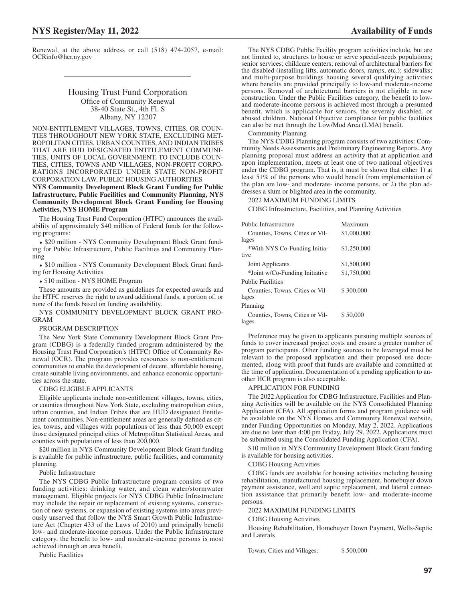# Housing Trust Fund Corporation Office of Community Renewal 38-40 State St., 4th Fl. S Albany, NY 12207

# NON-ENTITLEMENT VILLAGES, TOWNS, CITIES, OR COUN-TIES THROUGHOUT NEW YORK STATE, EXCLUDING MET-ROPOLITAN CITIES, URBAN COUNTIES, AND INDIAN TRIBES THAT ARE HUD DESIGNATED ENTITLEMENT COMMUNI-TIES, UNITS OF LOCAL GOVERNMENT, TO INCLUDE COUN-TIES, CITIES, TOWNS AND VILLAGES, NON-PROFIT CORPO-RATIONS INCORPORATED UNDER STATE NON-PROFIT CORPORATION LAW, PUBLIC HOUSING AUTHORITIES

**NYS Community Development Block Grant Funding for Public Infrastructure, Public Facilities and Community Planning, NYS Community Development Block Grant Funding for Housing Activities, NYS HOME Program**

The Housing Trust Fund Corporation (HTFC) announces the availability of approximately \$40 million of Federal funds for the following programs:

• \$20 million - NYS Community Development Block Grant funding for Public Infrastructure, Public Facilities and Community Planning

• \$10 million - NYS Community Development Block Grant funding for Housing Activities

• \$10 million - NYS HOME Program

These amounts are provided as guidelines for expected awards and the HTFC reserves the right to award additional funds, a portion of, or none of the funds based on funding availability.

NYS COMMUNITY DEVELOPMENT BLOCK GRANT PRO-GRAM

## PROGRAM DESCRIPTION

The New York State Community Development Block Grant Program (CDBG) is a federally funded program administered by the Housing Trust Fund Corporation's (HTFC) Office of Community Renewal (OCR). The program provides resources to non-entitlement communities to enable the development of decent, affordable housing, create suitable living environments, and enhance economic opportunities across the state.

#### CDBG ELIGIBLE APPLICANTS

Eligible applicants include non-entitlement villages, towns, cities, or counties throughout New York State, excluding metropolitan cities, urban counties, and Indian Tribes that are HUD designated Entitlement communities. Non-entitlement areas are generally defined as cities, towns, and villages with populations of less than 50,000 except those designated principal cities of Metropolitan Statistical Areas, and counties with populations of less than 200,000.

\$20 million in NYS Community Development Block Grant funding is available for public infrastructure, public facilities, and community planning.

Public Infrastructure

The NYS CDBG Public Infrastructure program consists of two funding activities: drinking water, and clean water/stormwater management. Eligible projects for NYS CDBG Public Infrastructure may include the repair or replacement of existing systems, construction of new systems, or expansion of existing systems into areas previously unserved that follow the NYS Smart Growth Public Infrastructure Act (Chapter 433 of the Laws of 2010) and principally benefit low- and moderate-income persons. Under the Public Infrastructure category, the benefit to low- and moderate-income persons is most achieved through an area benefit.

Public Facilities

The NYS CDBG Public Facility program activities include, but are not limited to, structures to house or serve special-needs populations; senior services; childcare centers; removal of architectural barriers for the disabled (installing lifts, automatic doors, ramps, etc.); sidewalks; and multi-purpose buildings housing several qualifying activities where benefits are provided principally to low-and moderate-income persons. Removal of architectural barriers is not eligible in new construction. Under the Public Facilities category, the benefit to lowand moderate-income persons is achieved most through a presumed benefit, which is applicable for seniors, the severely disabled, or abused children. National Objective compliance for public facilities can also be met through the Low/Mod Area (LMA) benefit.

Community Planning

The NYS CDBG Planning program consists of two activities: Community Needs Assessments and Preliminary Engineering Reports. Any planning proposal must address an activity that at application and upon implementation, meets at least one of two national objectives under the CDBG program. That is, it must be shown that either 1) at least 51% of the persons who would benefit from implementation of the plan are low- and moderate- income persons, or 2) the plan addresses a slum or blighted area in the community.

2022 MAXIMUM FUNDING LIMITS

CDBG Infrastructure, Facilities, and Planning Activities

| Public Infrastructure                    | Maximum     |
|------------------------------------------|-------------|
| Counties, Towns, Cities or Vil-          | \$1,000,000 |
| lages                                    |             |
| *With NYS Co-Funding Initia-             | \$1,250,000 |
| tive                                     |             |
| Joint Applicants                         | \$1,500,000 |
| *Joint w/Co-Funding Initiative           | \$1,750,000 |
| <b>Public Facilities</b>                 |             |
| Counties, Towns, Cities or Vil-<br>lages | \$300,000   |
| Planning                                 |             |
| Counties, Towns, Cities or Vil-<br>lages | \$50,000    |

Preference may be given to applicants pursuing multiple sources of funds to cover increased project costs and ensure a greater number of program participants. Other funding sources to be leveraged must be relevant to the proposed application and their proposed use documented, along with proof that funds are available and committed at the time of application. Documentation of a pending application to another HCR program is also acceptable.

APPLICATION FOR FUNDING

The 2022 Application for CDBG Infrastructure, Facilities and Planning Activities will be available on the NYS Consolidated Planning Application (CFA). All application forms and program guidance will be available on the NYS Homes and Community Renewal website, under Funding Opportunities on Monday, May 2, 2022. Applications are due no later than 4:00 pm Friday, July 29, 2022. Applications must be submitted using the Consolidated Funding Application (CFA).

\$10 million in NYS Community Development Block Grant funding is available for housing activities.

CDBG Housing Activities

CDBG funds are available for housing activities including housing rehabilitation, manufactured housing replacement, homebuyer down payment assistance, well and septic replacement, and lateral connection assistance that primarily benefit low- and moderate-income persons.

2022 MAXIMUM FUNDING LIMITS

CDBG Housing Activities

Housing Rehabilitation, Homebuyer Down Payment, Wells-Septic and Laterals

Towns, Cities and Villages: \$500,000